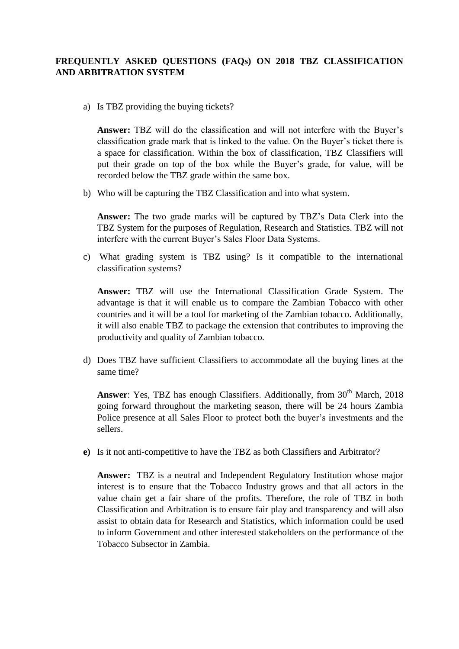## **FREQUENTLY ASKED QUESTIONS (FAQs) ON 2018 TBZ CLASSIFICATION AND ARBITRATION SYSTEM**

a) Is TBZ providing the buying tickets?

**Answer:** TBZ will do the classification and will not interfere with the Buyer's classification grade mark that is linked to the value. On the Buyer's ticket there is a space for classification. Within the box of classification, TBZ Classifiers will put their grade on top of the box while the Buyer's grade, for value, will be recorded below the TBZ grade within the same box.

b) Who will be capturing the TBZ Classification and into what system.

**Answer:** The two grade marks will be captured by TBZ's Data Clerk into the TBZ System for the purposes of Regulation, Research and Statistics. TBZ will not interfere with the current Buyer's Sales Floor Data Systems.

c) What grading system is TBZ using? Is it compatible to the international classification systems?

**Answer:** TBZ will use the International Classification Grade System. The advantage is that it will enable us to compare the Zambian Tobacco with other countries and it will be a tool for marketing of the Zambian tobacco. Additionally, it will also enable TBZ to package the extension that contributes to improving the productivity and quality of Zambian tobacco.

d) Does TBZ have sufficient Classifiers to accommodate all the buying lines at the same time?

Answer: Yes, TBZ has enough Classifiers. Additionally, from 30<sup>th</sup> March, 2018 going forward throughout the marketing season, there will be 24 hours Zambia Police presence at all Sales Floor to protect both the buyer's investments and the sellers.

**e)** Is it not anti-competitive to have the TBZ as both Classifiers and Arbitrator?

**Answer:** TBZ is a neutral and Independent Regulatory Institution whose major interest is to ensure that the Tobacco Industry grows and that all actors in the value chain get a fair share of the profits. Therefore, the role of TBZ in both Classification and Arbitration is to ensure fair play and transparency and will also assist to obtain data for Research and Statistics, which information could be used to inform Government and other interested stakeholders on the performance of the Tobacco Subsector in Zambia.